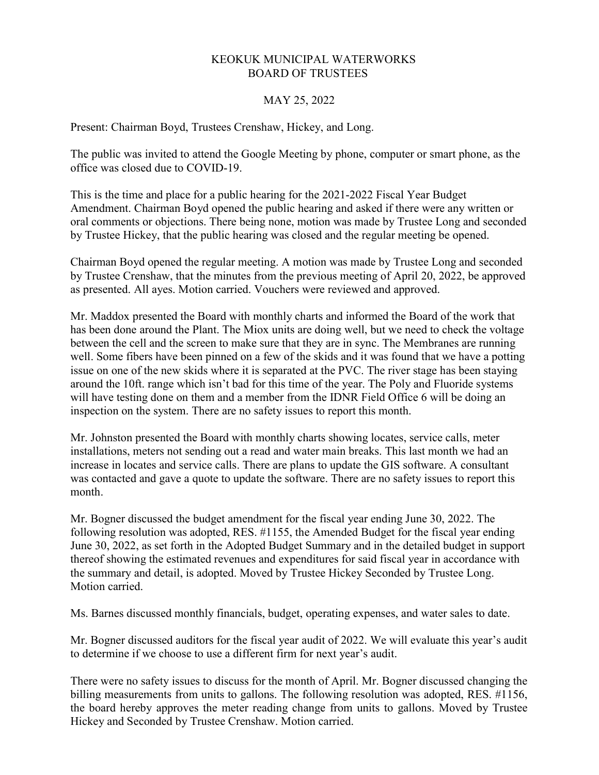## KEOKUK MUNICIPAL WATERWORKS BOARD OF TRUSTEES

## MAY 25, 2022

Present: Chairman Boyd, Trustees Crenshaw, Hickey, and Long.

The public was invited to attend the Google Meeting by phone, computer or smart phone, as the office was closed due to COVID-19.

This is the time and place for a public hearing for the 2021-2022 Fiscal Year Budget Amendment. Chairman Boyd opened the public hearing and asked if there were any written or oral comments or objections. There being none, motion was made by Trustee Long and seconded by Trustee Hickey, that the public hearing was closed and the regular meeting be opened.

Chairman Boyd opened the regular meeting. A motion was made by Trustee Long and seconded by Trustee Crenshaw, that the minutes from the previous meeting of April 20, 2022, be approved as presented. All ayes. Motion carried. Vouchers were reviewed and approved.

Mr. Maddox presented the Board with monthly charts and informed the Board of the work that has been done around the Plant. The Miox units are doing well, but we need to check the voltage between the cell and the screen to make sure that they are in sync. The Membranes are running well. Some fibers have been pinned on a few of the skids and it was found that we have a potting issue on one of the new skids where it is separated at the PVC. The river stage has been staying around the 10ft. range which isn't bad for this time of the year. The Poly and Fluoride systems will have testing done on them and a member from the IDNR Field Office 6 will be doing an inspection on the system. There are no safety issues to report this month.

Mr. Johnston presented the Board with monthly charts showing locates, service calls, meter installations, meters not sending out a read and water main breaks. This last month we had an increase in locates and service calls. There are plans to update the GIS software. A consultant was contacted and gave a quote to update the software. There are no safety issues to report this month.

Mr. Bogner discussed the budget amendment for the fiscal year ending June 30, 2022. The following resolution was adopted, RES. #1155, the Amended Budget for the fiscal year ending June 30, 2022, as set forth in the Adopted Budget Summary and in the detailed budget in support thereof showing the estimated revenues and expenditures for said fiscal year in accordance with the summary and detail, is adopted. Moved by Trustee Hickey Seconded by Trustee Long. Motion carried.

Ms. Barnes discussed monthly financials, budget, operating expenses, and water sales to date.

Mr. Bogner discussed auditors for the fiscal year audit of 2022. We will evaluate this year's audit to determine if we choose to use a different firm for next year's audit.

There were no safety issues to discuss for the month of April. Mr. Bogner discussed changing the billing measurements from units to gallons. The following resolution was adopted, RES. #1156, the board hereby approves the meter reading change from units to gallons. Moved by Trustee Hickey and Seconded by Trustee Crenshaw. Motion carried.